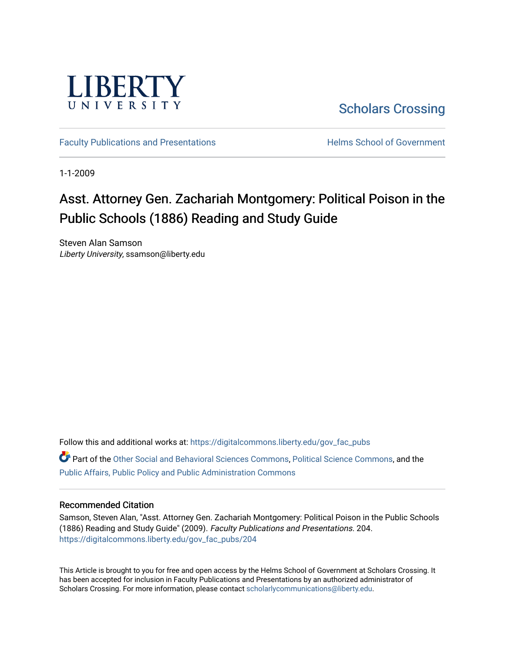

[Scholars Crossing](https://digitalcommons.liberty.edu/) 

[Faculty Publications and Presentations](https://digitalcommons.liberty.edu/gov_fac_pubs) **Exercise School of Government** 

1-1-2009

# Asst. Attorney Gen. Zachariah Montgomery: Political Poison in the Public Schools (1886) Reading and Study Guide

Steven Alan Samson Liberty University, ssamson@liberty.edu

Follow this and additional works at: [https://digitalcommons.liberty.edu/gov\\_fac\\_pubs](https://digitalcommons.liberty.edu/gov_fac_pubs?utm_source=digitalcommons.liberty.edu%2Fgov_fac_pubs%2F204&utm_medium=PDF&utm_campaign=PDFCoverPages) Part of the [Other Social and Behavioral Sciences Commons](http://network.bepress.com/hgg/discipline/437?utm_source=digitalcommons.liberty.edu%2Fgov_fac_pubs%2F204&utm_medium=PDF&utm_campaign=PDFCoverPages), [Political Science Commons](http://network.bepress.com/hgg/discipline/386?utm_source=digitalcommons.liberty.edu%2Fgov_fac_pubs%2F204&utm_medium=PDF&utm_campaign=PDFCoverPages), and the [Public Affairs, Public Policy and Public Administration Commons](http://network.bepress.com/hgg/discipline/393?utm_source=digitalcommons.liberty.edu%2Fgov_fac_pubs%2F204&utm_medium=PDF&utm_campaign=PDFCoverPages)

### Recommended Citation

Samson, Steven Alan, "Asst. Attorney Gen. Zachariah Montgomery: Political Poison in the Public Schools (1886) Reading and Study Guide" (2009). Faculty Publications and Presentations. 204. [https://digitalcommons.liberty.edu/gov\\_fac\\_pubs/204](https://digitalcommons.liberty.edu/gov_fac_pubs/204?utm_source=digitalcommons.liberty.edu%2Fgov_fac_pubs%2F204&utm_medium=PDF&utm_campaign=PDFCoverPages)

This Article is brought to you for free and open access by the Helms School of Government at Scholars Crossing. It has been accepted for inclusion in Faculty Publications and Presentations by an authorized administrator of Scholars Crossing. For more information, please contact [scholarlycommunications@liberty.edu.](mailto:scholarlycommunications@liberty.edu)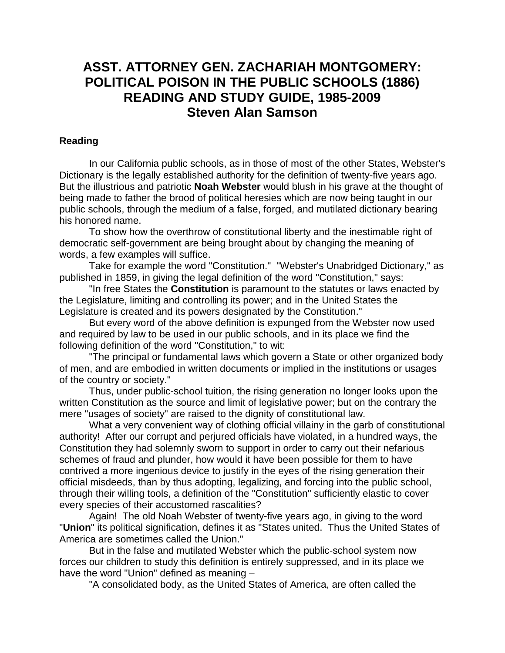## **ASST. ATTORNEY GEN. ZACHARIAH MONTGOMERY: POLITICAL POISON IN THE PUBLIC SCHOOLS (1886) READING AND STUDY GUIDE, 1985-2009 Steven Alan Samson**

## **Reading**

In our California public schools, as in those of most of the other States, Webster's Dictionary is the legally established authority for the definition of twenty-five years ago. But the illustrious and patriotic **Noah Webster** would blush in his grave at the thought of being made to father the brood of political heresies which are now being taught in our public schools, through the medium of a false, forged, and mutilated dictionary bearing his honored name.

To show how the overthrow of constitutional liberty and the inestimable right of democratic self-government are being brought about by changing the meaning of words, a few examples will suffice.

Take for example the word "Constitution." "Webster's Unabridged Dictionary," as published in 1859, in giving the legal definition of the word "Constitution," says:

"In free States the **Constitution** is paramount to the statutes or laws enacted by the Legislature, limiting and controlling its power; and in the United States the Legislature is created and its powers designated by the Constitution."

But every word of the above definition is expunged from the Webster now used and required by law to be used in our public schools, and in its place we find the following definition of the word "Constitution," to wit:

"The principal or fundamental laws which govern a State or other organized body of men, and are embodied in written documents or implied in the institutions or usages of the country or society."

Thus, under public-school tuition, the rising generation no longer looks upon the written Constitution as the source and limit of legislative power; but on the contrary the mere "usages of society" are raised to the dignity of constitutional law.

What a very convenient way of clothing official villainy in the garb of constitutional authority! After our corrupt and perjured officials have violated, in a hundred ways, the Constitution they had solemnly sworn to support in order to carry out their nefarious schemes of fraud and plunder, how would it have been possible for them to have contrived a more ingenious device to justify in the eyes of the rising generation their official misdeeds, than by thus adopting, legalizing, and forcing into the public school, through their willing tools, a definition of the "Constitution" sufficiently elastic to cover every species of their accustomed rascalities?

Again! The old Noah Webster of twenty-five years ago, in giving to the word "**Union**" its political signification, defines it as "States united. Thus the United States of America are sometimes called the Union."

But in the false and mutilated Webster which the public-school system now forces our children to study this definition is entirely suppressed, and in its place we have the word "Union" defined as meaning –

"A consolidated body, as the United States of America, are often called the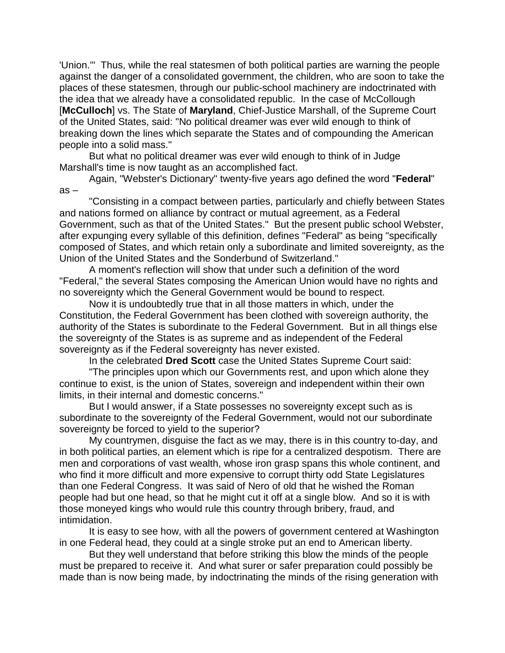'Union.'" Thus, while the real statesmen of both political parties are warning the people against the danger of a consolidated government, the children, who are soon to take the places of these statesmen, through our public-school machinery are indoctrinated with the idea that we already have a consolidated republic. In the case of McCollough [**McCulloch**] vs. The State of **Maryland**, Chief-Justice Marshall, of the Supreme Court of the United States, said: "No political dreamer was ever wild enough to think of breaking down the lines which separate the States and of compounding the American people into a solid mass."

But what no political dreamer was ever wild enough to think of in Judge Marshall's time is now taught as an accomplished fact.

Again, "Webster's Dictionary" twenty-five years ago defined the word "**Federal**" as –

"Consisting in a compact between parties, particularly and chiefly between States and nations formed on alliance by contract or mutual agreement, as a Federal Government, such as that of the United States." But the present public school Webster, after expunging every syllable of this definition, defines "Federal" as being "specifically composed of States, and which retain only a subordinate and limited sovereignty, as the Union of the United States and the Sonderbund of Switzerland."

A moment's reflection will show that under such a definition of the word "Federal," the several States composing the American Union would have no rights and no sovereignty which the General Government would be bound to respect.

Now it is undoubtedly true that in all those matters in which, under the Constitution, the Federal Government has been clothed with sovereign authority, the authority of the States is subordinate to the Federal Government. But in all things else the sovereignty of the States is as supreme and as independent of the Federal sovereignty as if the Federal sovereignty has never existed.

In the celebrated **Dred Scott** case the United States Supreme Court said:

"The principles upon which our Governments rest, and upon which alone they continue to exist, is the union of States, sovereign and independent within their own limits, in their internal and domestic concerns."

But I would answer, if a State possesses no sovereignty except such as is subordinate to the sovereignty of the Federal Government, would not our subordinate sovereignty be forced to yield to the superior?

My countrymen, disguise the fact as we may, there is in this country to-day, and in both political parties, an element which is ripe for a centralized despotism. There are men and corporations of vast wealth, whose iron grasp spans this whole continent, and who find it more difficult and more expensive to corrupt thirty odd State Legislatures than one Federal Congress. It was said of Nero of old that he wished the Roman people had but one head, so that he might cut it off at a single blow. And so it is with those moneyed kings who would rule this country through bribery, fraud, and intimidation.

It is easy to see how, with all the powers of government centered at Washington in one Federal head, they could at a single stroke put an end to American liberty.

But they well understand that before striking this blow the minds of the people must be prepared to receive it. And what surer or safer preparation could possibly be made than is now being made, by indoctrinating the minds of the rising generation with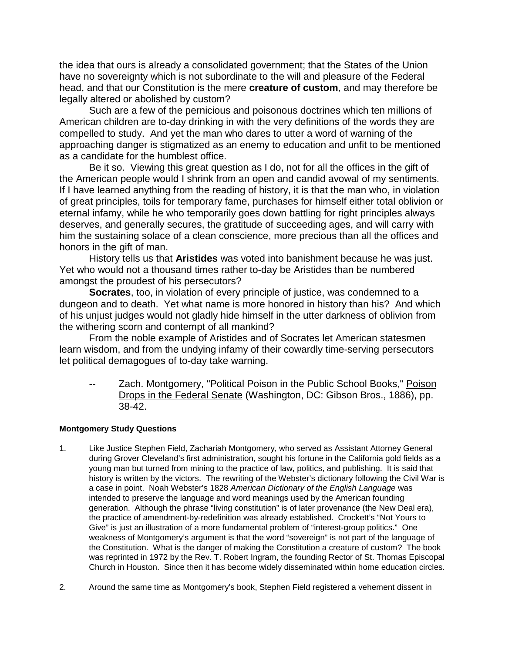the idea that ours is already a consolidated government; that the States of the Union have no sovereignty which is not subordinate to the will and pleasure of the Federal head, and that our Constitution is the mere **creature of custom**, and may therefore be legally altered or abolished by custom?

Such are a few of the pernicious and poisonous doctrines which ten millions of American children are to-day drinking in with the very definitions of the words they are compelled to study. And yet the man who dares to utter a word of warning of the approaching danger is stigmatized as an enemy to education and unfit to be mentioned as a candidate for the humblest office.

Be it so. Viewing this great question as I do, not for all the offices in the gift of the American people would I shrink from an open and candid avowal of my sentiments. If I have learned anything from the reading of history, it is that the man who, in violation of great principles, toils for temporary fame, purchases for himself either total oblivion or eternal infamy, while he who temporarily goes down battling for right principles always deserves, and generally secures, the gratitude of succeeding ages, and will carry with him the sustaining solace of a clean conscience, more precious than all the offices and honors in the gift of man.

History tells us that **Aristides** was voted into banishment because he was just. Yet who would not a thousand times rather to-day be Aristides than be numbered amongst the proudest of his persecutors?

**Socrates**, too, in violation of every principle of justice, was condemned to a dungeon and to death. Yet what name is more honored in history than his? And which of his unjust judges would not gladly hide himself in the utter darkness of oblivion from the withering scorn and contempt of all mankind?

From the noble example of Aristides and of Socrates let American statesmen learn wisdom, and from the undying infamy of their cowardly time-serving persecutors let political demagogues of to-day take warning.

Zach. Montgomery, "Political Poison in the Public School Books," Poison Drops in the Federal Senate (Washington, DC: Gibson Bros., 1886), pp. 38-42.

## **Montgomery Study Questions**

- 1. Like Justice Stephen Field, Zachariah Montgomery, who served as Assistant Attorney General during Grover Cleveland's first administration, sought his fortune in the California gold fields as a young man but turned from mining to the practice of law, politics, and publishing. It is said that history is written by the victors. The rewriting of the Webster's dictionary following the Civil War is a case in point. Noah Webster's 1828 *American Dictionary of the English Language* was intended to preserve the language and word meanings used by the American founding generation. Although the phrase "living constitution" is of later provenance (the New Deal era), the practice of amendment-by-redefinition was already established. Crockett's "Not Yours to Give" is just an illustration of a more fundamental problem of "interest-group politics." One weakness of Montgomery's argument is that the word "sovereign" is not part of the language of the Constitution. What is the danger of making the Constitution a creature of custom? The book was reprinted in 1972 by the Rev. T. Robert Ingram, the founding Rector of St. Thomas Episcopal Church in Houston. Since then it has become widely disseminated within home education circles.
- 2. Around the same time as Montgomery's book, Stephen Field registered a vehement dissent in